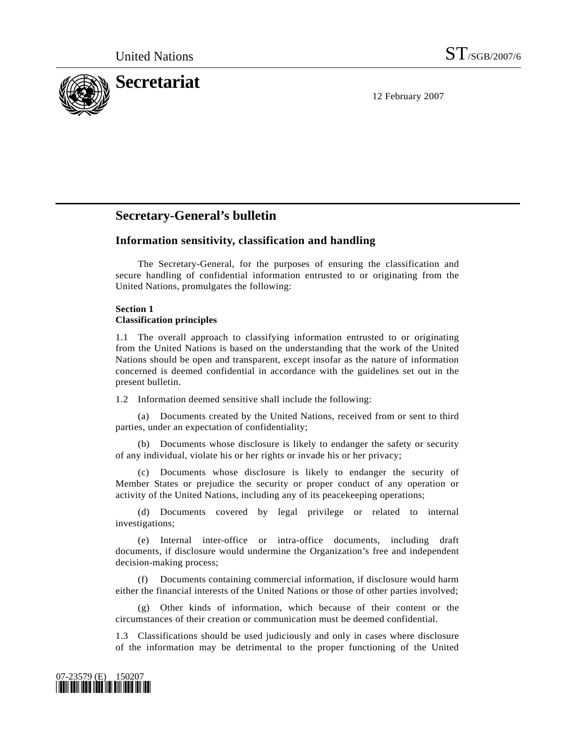

12 February 2007

# **Secretary-General's bulletin**

# **Information sensitivity, classification and handling**

 The Secretary-General, for the purposes of ensuring the classification and secure handling of confidential information entrusted to or originating from the United Nations, promulgates the following:

### **Section 1 Classification principles**

1.1 The overall approach to classifying information entrusted to or originating from the United Nations is based on the understanding that the work of the United Nations should be open and transparent, except insofar as the nature of information concerned is deemed confidential in accordance with the guidelines set out in the present bulletin.

1.2 Information deemed sensitive shall include the following:

 (a) Documents created by the United Nations, received from or sent to third parties, under an expectation of confidentiality;

 (b) Documents whose disclosure is likely to endanger the safety or security of any individual, violate his or her rights or invade his or her privacy;

 (c) Documents whose disclosure is likely to endanger the security of Member States or prejudice the security or proper conduct of any operation or activity of the United Nations, including any of its peacekeeping operations;

 (d) Documents covered by legal privilege or related to internal investigations;

 (e) Internal inter-office or intra-office documents, including draft documents, if disclosure would undermine the Organization's free and independent decision-making process;

 (f) Documents containing commercial information, if disclosure would harm either the financial interests of the United Nations or those of other parties involved;

 (g) Other kinds of information, which because of their content or the circumstances of their creation or communication must be deemed confidential.

1.3 Classifications should be used judiciously and only in cases where disclosure of the information may be detrimental to the proper functioning of the United

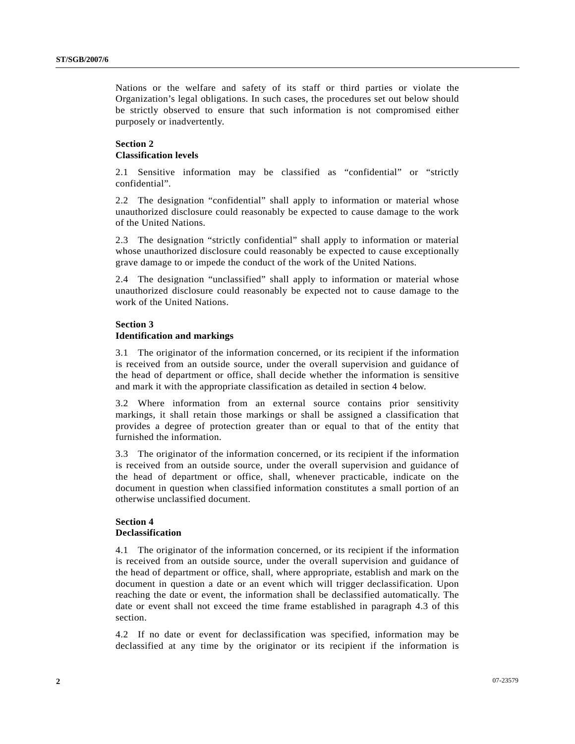Nations or the welfare and safety of its staff or third parties or violate the Organization's legal obligations. In such cases, the procedures set out below should be strictly observed to ensure that such information is not compromised either purposely or inadvertently.

## **Section 2 Classification levels**

2.1 Sensitive information may be classified as "confidential" or "strictly confidential".

2.2 The designation "confidential" shall apply to information or material whose unauthorized disclosure could reasonably be expected to cause damage to the work of the United Nations.

2.3 The designation "strictly confidential" shall apply to information or material whose unauthorized disclosure could reasonably be expected to cause exceptionally grave damage to or impede the conduct of the work of the United Nations.

2.4 The designation "unclassified" shall apply to information or material whose unauthorized disclosure could reasonably be expected not to cause damage to the work of the United Nations.

# **Section 3 Identification and markings**

3.1 The originator of the information concerned, or its recipient if the information is received from an outside source, under the overall supervision and guidance of the head of department or office, shall decide whether the information is sensitive and mark it with the appropriate classification as detailed in section 4 below.

3.2 Where information from an external source contains prior sensitivity markings, it shall retain those markings or shall be assigned a classification that provides a degree of protection greater than or equal to that of the entity that furnished the information.

3.3 The originator of the information concerned, or its recipient if the information is received from an outside source, under the overall supervision and guidance of the head of department or office, shall, whenever practicable, indicate on the document in question when classified information constitutes a small portion of an otherwise unclassified document.

### **Section 4 Declassification**

4.1 The originator of the information concerned, or its recipient if the information is received from an outside source, under the overall supervision and guidance of the head of department or office, shall, where appropriate, establish and mark on the document in question a date or an event which will trigger declassification. Upon reaching the date or event, the information shall be declassified automatically. The date or event shall not exceed the time frame established in paragraph 4.3 of this section.

4.2 If no date or event for declassification was specified, information may be declassified at any time by the originator or its recipient if the information is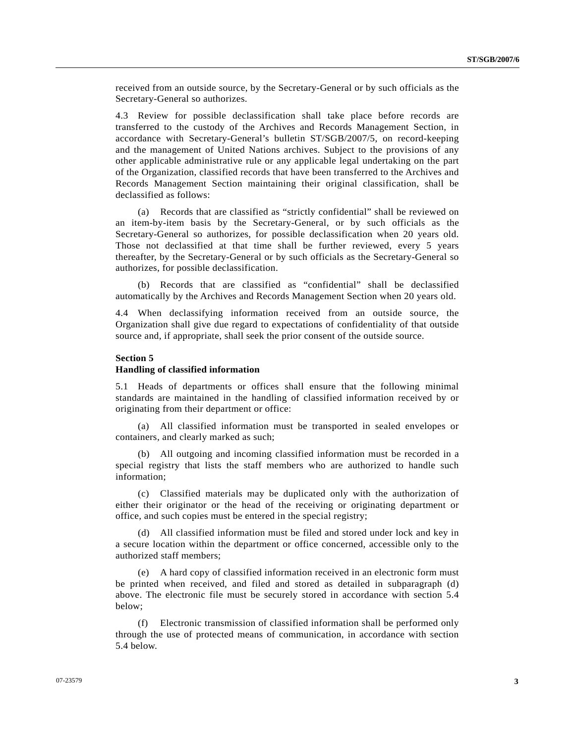received from an outside source, by the Secretary-General or by such officials as the Secretary-General so authorizes.

4.3 Review for possible declassification shall take place before records are transferred to the custody of the Archives and Records Management Section, in accordance with Secretary-General's bulletin ST/SGB/2007/5, on record-keeping and the management of United Nations archives. Subject to the provisions of any other applicable administrative rule or any applicable legal undertaking on the part of the Organization, classified records that have been transferred to the Archives and Records Management Section maintaining their original classification, shall be declassified as follows:

 (a) Records that are classified as "strictly confidential" shall be reviewed on an item-by-item basis by the Secretary-General, or by such officials as the Secretary-General so authorizes, for possible declassification when 20 years old. Those not declassified at that time shall be further reviewed, every 5 years thereafter, by the Secretary-General or by such officials as the Secretary-General so authorizes, for possible declassification.

 (b) Records that are classified as "confidential" shall be declassified automatically by the Archives and Records Management Section when 20 years old.

4.4 When declassifying information received from an outside source, the Organization shall give due regard to expectations of confidentiality of that outside source and, if appropriate, shall seek the prior consent of the outside source.

#### **Section 5**

#### **Handling of classified information**

5.1 Heads of departments or offices shall ensure that the following minimal standards are maintained in the handling of classified information received by or originating from their department or office:

 (a) All classified information must be transported in sealed envelopes or containers, and clearly marked as such;

 (b) All outgoing and incoming classified information must be recorded in a special registry that lists the staff members who are authorized to handle such information;

 (c) Classified materials may be duplicated only with the authorization of either their originator or the head of the receiving or originating department or office, and such copies must be entered in the special registry;

 (d) All classified information must be filed and stored under lock and key in a secure location within the department or office concerned, accessible only to the authorized staff members;

 (e) A hard copy of classified information received in an electronic form must be printed when received, and filed and stored as detailed in subparagraph (d) above. The electronic file must be securely stored in accordance with section 5.4 below;

 (f) Electronic transmission of classified information shall be performed only through the use of protected means of communication, in accordance with section 5.4 below.